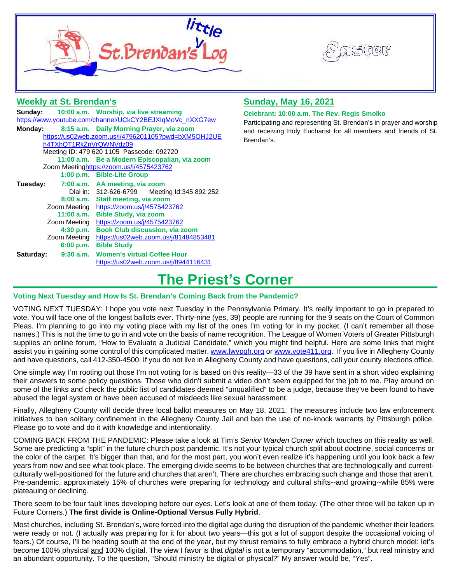



### **Weekly at St. Brendan's**

|                                                          |              | Sunday: 10:00 a.m. Worship, via live streaming |  |  |  |  |
|----------------------------------------------------------|--------------|------------------------------------------------|--|--|--|--|
| https://www.youtube.com/channel/UCkCY2BEJXIqMoVc_nXXG7ew |              |                                                |  |  |  |  |
| Monday:                                                  |              | 8:15 a.m. Daily Morning Prayer, via zoom       |  |  |  |  |
| https://us02web.zoom.us/j/4796201105?pwd=bXM5OHJ2UE      |              |                                                |  |  |  |  |
| h4TXhQT1RkZnVrQWNVdz09                                   |              |                                                |  |  |  |  |
| Meeting ID: 479 620 1105 Passcode: 092720                |              |                                                |  |  |  |  |
|                                                          |              | 11:00 a.m. Be a Modern Episcopalian, via zoom  |  |  |  |  |
| Zoom Meetinghttps://zoom.us/j/4575423762                 |              |                                                |  |  |  |  |
|                                                          |              | 1:00 p.m. Bible-Lite Group                     |  |  |  |  |
| Tuesday:                                                 |              | 7:00 a.m. AA meeting, via zoom                 |  |  |  |  |
|                                                          |              | Dial in: 312-626-6799 Meeting Id:345 892 252   |  |  |  |  |
|                                                          |              | 8:00 a.m. Staff meeting, via zoom              |  |  |  |  |
|                                                          |              | Zoom Meeting https://zoom.us/j/4575423762      |  |  |  |  |
|                                                          |              | 11:00 a.m. Bible Study, via zoom               |  |  |  |  |
|                                                          | Zoom Meeting | https://zoom.us/j/4575423762                   |  |  |  |  |
|                                                          | 4:30 p.m.    | <b>Book Club discussion, via zoom</b>          |  |  |  |  |
|                                                          | Zoom Meeting | https://us02web.zoom.us/j/81484853481          |  |  |  |  |
|                                                          | 6:00 p.m.    | <b>Bible Study</b>                             |  |  |  |  |
| Saturday:                                                |              | 9:30 a.m. Women's virtual Coffee Hour          |  |  |  |  |
|                                                          |              | https://us02web.zoom.us/j/8944116431           |  |  |  |  |

### **Sunday, May 16, 2021**

#### **Celebrant: 10:00 a.m. The Rev. Regis Smolko**

Participating and representing St. Brendan's in prayer and worship and receiving Holy Eucharist for all members and friends of St. Brendan's.

## **The Priest's Corner**

### **Voting Next Tuesday and How Is St. Brendan's Coming Back from the Pandemic?**

VOTING NEXT TUESDAY: I hope you vote next Tuesday in the Pennsylvania Primary. It's really important to go in prepared to vote. You will face one of the longest ballots ever. Thirty-nine (yes, 39) people are running for the 9 seats on the Court of Common Pleas. I'm planning to go into my voting place with my list of the ones I'm voting for in my pocket. (I can't remember all those names.) This is not the time to go in and vote on the basis of name recognition. The League of Women Voters of Greater Pittsburgh supplies an online forum, "How to Evaluate a Judicial Candidate," which you might find helpful. Here are some links that might assist you in gaining some control of this complicated matter. [www.lwvpgh.org](http://www.lwvpgh.org/) or [www.vote411.org.](http://www.vote411.org/) If you live in Allegheny County and have questions, call 412-350-4500. If you do not live in Allegheny County and have questions, call your county elections office.

One simple way I'm rooting out those I'm not voting for is based on this reality—33 of the 39 have sent in a short video explaining their answers to some policy questions. Those who didn't submit a video don't seem equipped for the job to me. Play around on some of the links and check the public list of candidates deemed "unqualified" to be a judge, because they've been found to have abused the legal system or have been accused of misdeeds like sexual harassment.

Finally, Allegheny County will decide three local ballot measures on May 18, 2021. The measures include two law enforcement initiatives to ban solitary confinement in the Allegheny County Jail and ban the use of no-knock warrants by Pittsburgh police. Please go to vote and do it with knowledge and intentionality.

COMING BACK FROM THE PANDEMIC: Please take a look at Tim's *Senior Warden Corner* which touches on this reality as well. Some are predicting a "split" in the future church post pandemic. It's not your typical church split about doctrine, social concerns or the color of the carpet. It's bigger than that, and for the most part, you won't even realize it's happening until you look back a few years from now and see what took place. The emerging divide seems to be between churches that are technologically and currentculturally well-positioned for the future and churches that aren't. There are churches embracing such change and those that aren't. Pre-pandemic, approximately 15% of churches were preparing for technology and cultural shifts--and growing--while 85% were plateauing or declining.

There seem to be four fault lines developing before our eyes. Let's look at one of them today. (The other three will be taken up in Future Corners.) **The first divide is Online-Optional Versus Fully Hybrid**.

Most churches, including St. Brendan's, were forced into the digital age during the disruption of the pandemic whether their leaders were ready or not. (I actually was preparing for it for about two years—this got a lot of support despite the occasional voicing of fears.) Of course, I'll be heading south at the end of the year, but my thrust remains to fully embrace a hybrid church model: let's become 100% physical and 100% digital. The view I favor is that *digital* is not a temporary "accommodation," but real ministry and an abundant opportunity. To the question, "Should ministry be digital or physical?" My answer would be, "Yes".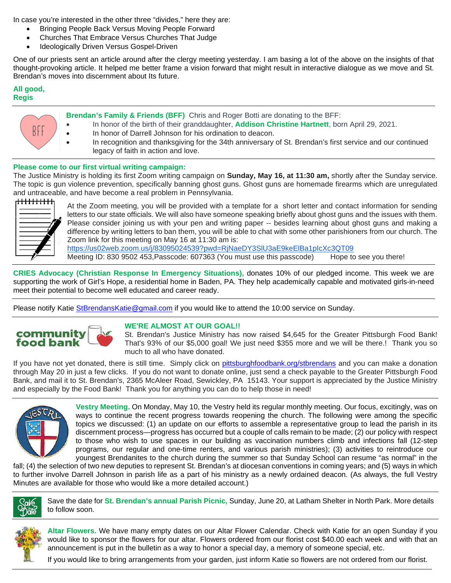In case you're interested in the other three "divides," here they are:

- Bringing People Back Versus Moving People Forward
- Churches That Embrace Versus Churches That Judge
- Ideologically Driven Versus Gospel-Driven

One of our priests sent an article around after the clergy meeting yesterday. I am basing a lot of the above on the insights of that thought-provoking article. It helped me better frame a vision forward that might result in interactive dialogue as we move and St. Brendan's moves into discernment about Its future.

### **All good, Regis**



- **Brendan's Family & Friends (BFF)** Chris and Roger Botti are donating to the BFF:
	- In honor of the birth of their granddaughter, **Addison Christine Hartnett**, born April 29, 2021.
- In honor of Darrell Johnson for his ordination to deacon.
	- In recognition and thanksgiving for the 34th anniversary of St. Brendan's first service and our continued legacy of faith in action and love.

### **Please come to our first virtual writing campaign:**

The Justice Ministry is holding its first Zoom writing campaign on **Sunday, May 16, at 11:30 am,** shortly after the Sunday service. The topic is gun violence prevention, specifically banning ghost guns. Ghost guns are homemade firearms which are unregulated and untraceable, and have become a real problem in Pennsylvania.



At the Zoom meeting, you will be provided with a template for a short letter and contact information for sending letters to our state officials. We will also have someone speaking briefly about ghost guns and the issues with them. Please consider joining us with your pen and writing paper -- besides learning about ghost guns and making a difference by writing letters to ban them, you will be able to chat with some other parishioners from our church. The Zoom link for this meeting on May 16 at 11:30 am is:

<https://us02web.zoom.us/j/83095024539?pwd=RjNaeDY3SlU3aE9keElBa1pIcXc3QT09> Meeting ID: 830 9502 453, Passcode: 607363 (You must use this passcode) Hope to see you there!

**CRIES Advocacy (Christian Response In Emergency Situations),** donates 10% of our pledged income. This week we are supporting the work of Girl's Hope, a residential home in Baden, PA. They help academically capable and motivated girls-in-need meet their potential to become well educated and career ready.

Please notify Katie [StBrendansKatie@gmail.com](mailto:StBrendansKatie@gmail.com) if you would like to attend the 10:00 service on Sunday.



### **WE'RE ALMOST AT OUR GOAL!!**

St. Brendan's Justice Ministry has now raised \$4,645 for the Greater Pittsburgh Food Bank! That's 93% of our \$5,000 goal! We just need \$355 more and we will be there.! Thank you so much to all who have donated.

If you have not yet donated, there is still time. Simply click on [pittsburghfoodbank.org/stbrendans](http://pittsburghfoodbank.org/stbrendans) and you can make a donation through May 20 in just a few clicks. If you do not want to donate online, just send a check payable to the Greater Pittsburgh Food Bank, and mail it to St. Brendan's, 2365 McAleer Road, Sewickley, PA 15143. Your support is appreciated by the Justice Ministry and especially by the Food Bank! Thank you for anything you can do to help those in need!



**Vestry Meeting.** On Monday, May 10, the Vestry held its regular monthly meeting. Our focus, excitingly, was on ways to continue the recent progress towards reopening the church. The following were among the specific topics we discussed: (1) an update on our efforts to assemble a representative group to lead the parish in its discernment process—progress has occurred but a couple of calls remain to be made; (2) our policy with respect to those who wish to use spaces in our building as vaccination numbers climb and infections fall (12-step programs, our regular and one-time renters, and various parish ministries); (3) activities to reintroduce our youngest Brendanites to the church during the summer so that Sunday School can resume "as normal" in the

fall; (4) the selection of two new deputies to represent St. Brendan's at diocesan conventions in coming years; and (5) ways in which to further involve Darrell Johnson in parish life as a part of his ministry as a newly ordained deacon. (As always, the full Vestry Minutes are available for those who would like a more detailed account.)



Save the date for **St. Brendan's annual Parish Picnic,** Sunday, June 20, at Latham Shelter in North Park. More details to follow soon.



**Altar Flowers.** We have many empty dates on our Altar Flower Calendar. Check with Katie for an open Sunday if you would like to sponsor the flowers for our altar. Flowers ordered from our florist cost \$40.00 each week and with that an announcement is put in the bulletin as a way to honor a special day, a memory of someone special, etc.

If you would like to bring arrangements from your garden, just inform Katie so flowers are not ordered from our florist.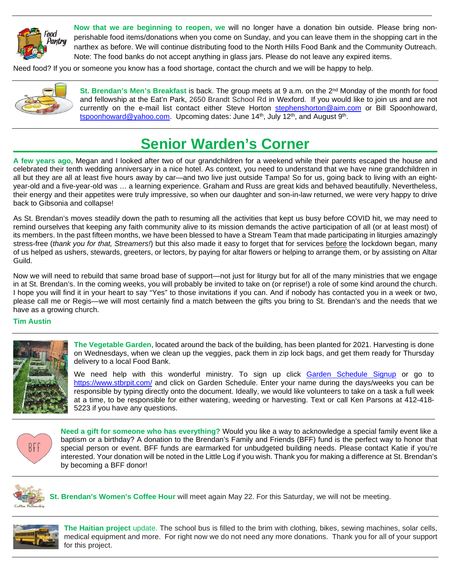

**Now that we are beginning to reopen, we** will no longer have a donation bin outside. Please bring nonperishable food items/donations when you come on Sunday, and you can leave them in the shopping cart in the narthex as before. We will continue distributing food to the North Hills Food Bank and the Community Outreach. Note: The food banks do not accept anything in glass jars. Please do not leave any expired items.

Need food? If you or someone you know has a food shortage, contact the church and we will be happy to help.



**St. Brendan's Men's Breakfast** is back. The group meets at 9 a.m. on the 2<sup>nd</sup> Monday of the month for food and fellowship at the Eat'n Park, 2650 Brandt School Rd in Wexford. If you would like to join us and are not currently on the e-mail list contact either Steve Horton [stephenshorton@aim.com](mailto:stephenshorton@aim.com) or Bill Spoonhoward, [tspoonhoward@yahoo.com.](mailto:tspoonhoward@yahoo.com) Upcoming dates: June 14<sup>th</sup>, July 12<sup>th</sup>, and August 9<sup>th</sup>.

# **Senior Warden's Corner**

**A few years ago,** Megan and I looked after two of our grandchildren for a weekend while their parents escaped the house and celebrated their tenth wedding anniversary in a nice hotel. As context, you need to understand that we have nine grandchildren in all but they are all at least five hours away by car—and two live just outside Tampa! So for us, going back to living with an eightyear-old and a five-year-old was … a learning experience. Graham and Russ are great kids and behaved beautifully. Nevertheless, their energy and their appetites were truly impressive, so when our daughter and son-in-law returned, we were very happy to drive back to Gibsonia and collapse!

As St. Brendan's moves steadily down the path to resuming all the activities that kept us busy before COVID hit, we may need to remind ourselves that keeping any faith community alive to its mission demands the active participation of all (or at least most) of its members. In the past fifteen months, we have been blessed to have a Stream Team that made participating in liturgies amazingly stress-free (*thank you for that, Streamers!*) but this also made it easy to forget that for services before the lockdown began, many of us helped as ushers, stewards, greeters, or lectors, by paying for altar flowers or helping to arrange them, or by assisting on Altar Guild.

Now we will need to rebuild that same broad base of support—not just for liturgy but for all of the many ministries that we engage in at St. Brendan's. In the coming weeks, you will probably be invited to take on (or reprise!) a role of some kind around the church. I hope you will find it in your heart to say "Yes" to those invitations if you can. And if nobody has contacted you in a week or two, please call me or Regis—we will most certainly find a match between the gifts you bring to St. Brendan's and the needs that we have as a growing church.

### **Tim Austin**



**The Vegetable Garden**, located around the back of the building, has been planted for 2021. Harvesting is done on Wednesdays, when we clean up the veggies, pack them in zip lock bags, and get them ready for Thursday delivery to a local Food Bank.

We need help with this wonderful ministry. To sign up click [Garden Schedule Signup](https://docs.google.com/document/d/1YZ7ggrfn1sE1PF3zLPRQ84MFHEzxLP20JH45by9dIgw/edit?usp=sharing) or go to <https://www.stbrpit.com/> and click on Garden Schedule. Enter your name during the days/weeks you can be responsible by typing directly onto the document. Ideally, we would like volunteers to take on a task a full week at a time, to be responsible for either watering, weeding or harvesting. Text or call Ken Parsons at 412-418- 5223 if you have any questions.



**Need a gift for someone who has everything?** Would you like a way to acknowledge a special family event like a baptism or a birthday? A donation to the Brendan's Family and Friends (BFF) fund is the perfect way to honor that special person or event. BFF funds are earmarked for unbudgeted building needs. Please contact Katie if you're interested. Your donation will be noted in the Little Log if you wish. Thank you for making a difference at St. Brendan's by becoming a BFF donor!



**St. Brendan's Women's Coffee Hour** will meet again May 22. For this Saturday, we will not be meeting.



**The Haitian project** update. The school bus is filled to the brim with clothing, bikes, sewing machines, solar cells, medical equipment and more. For right now we do not need any more donations. Thank you for all of your support for this project.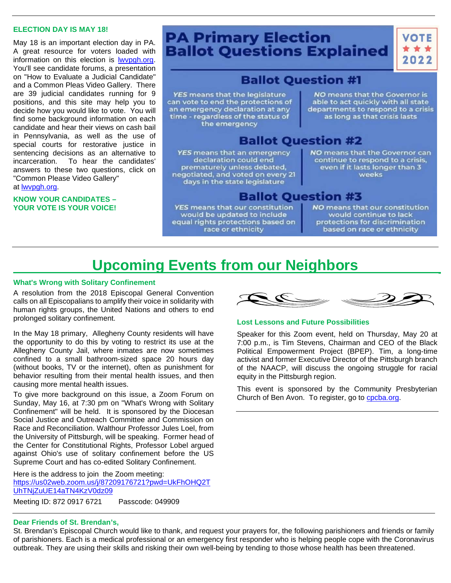### **ELECTION DAY IS MAY 18!**

May 18 is an important election day in PA. A great resource for voters loaded with information on this election is [lwvpgh.org.](http://lwvpgh.org/) You'll see candidate forums, a presentation on "How to Evaluate a Judicial Candidate" and a Common Pleas Video Gallery. There are 39 judicial candidates running for 9 positions, and this site may help you to decide how you would like to vote. You will find some background information on each candidate and hear their views on cash bail in Pennsylvania, as well as the use of special courts for restorative justice in sentencing decisions as an alternative to incarceration. To hear the candidates' answers to these two questions, click on "Common Please Video Gallery" at [lwvpgh.org.](http://lwvpgh.org/)

### **KNOW YOUR CANDIDATES – YOUR VOTE IS YOUR VOICE!**

### **PA Primary Election Ballot Questions Explained**

2022

### **Ballot Question #1**

YES means that the legislature can vote to end the protections of an emergency declaration at any time - regardless of the status of the emergency

NO means that the Governor is able to act quickly with all state departments to respond to a crisis as long as that crisis lasts

### **Ballot Question #2**

YES means that an emergency declaration could end prematurely unless debated, negotiated, and voted on every 21 days in the state legislature

NO means that the Governor can continue to respond to a crisis, even if it lasts longer than 3 weeks

### **Ballot Question #3**

YES means that our constitution would be updated to include equal rights protections based on race or ethnicity

NO means that our constitution would continue to lack protections for discrimination based on race or ethnicity

# **Upcoming Events from our Neighbors**

### **What's Wrong with Solitary Confinement**

A resolution from the 2018 Episcopal General Convention calls on all Episcopalians to amplify their voice in solidarity with human rights groups, the United Nations and others to end prolonged solitary confinement.

In the May 18 primary, Allegheny County residents will have the opportunity to do this by voting to restrict its use at the Allegheny County Jail, where inmates are now sometimes confined to a small bathroom-sized space 20 hours day (without books, TV or the internet), often as punishment for behavior resulting from their mental health issues, and then causing more mental health issues.

To give more background on this issue, a Zoom Forum on Sunday, May 16, at 7:30 pm on "What's Wrong with Solitary Confinement" will be held. It is sponsored by the Diocesan Social Justice and Outreach Committee and Commission on Race and Reconciliation. Walthour Professor Jules Loel, from the University of Pittsburgh, will be speaking. Former head of the Center for Constitutional Rights, Professor Lobel argued against Ohio's use of solitary confinement before the US Supreme Court and has co-edited Solitary Confinement.

Here is the address to join the Zoom meeting: [https://us02web.zoom.us/j/87209176721?pwd=UkFhOHQ2T](https://us02web.zoom.us/j/87209176721?pwd=UkFhOHQ2TUhTNjZuUE14aTN4KzV0dz09) [UhTNjZuUE14aTN4KzV0dz09](https://us02web.zoom.us/j/87209176721?pwd=UkFhOHQ2TUhTNjZuUE14aTN4KzV0dz09)

Meeting ID: 872 0917 6721 Passcode: 049909

### **Dear Friends of St. Brendan's,**

St. Brendan's Episcopal Church would like to thank, and request your prayers for, the following parishioners and friends or family of parishioners. Each is a medical professional or an emergency first responder who is helping people cope with the Coronavirus outbreak. They are using their skills and risking their own well-being by tending to those whose health has been threatened.



### **Lost Lessons and Future Possibilities**

Speaker for this Zoom event, held on Thursday, May 20 at 7:00 p.m., is Tim Stevens, Chairman and CEO of the Black Political Empowerment Project (BPEP). Tim, a long-time activist and former Executive Director of the Pittsburgh branch of the NAACP, will discuss the ongoing struggle for racial equity in the Pittsburgh region.

This event is sponsored by the Community Presbyterian Church of Ben Avon. To register, go to [cpcba.org.](http://cpcba.org/)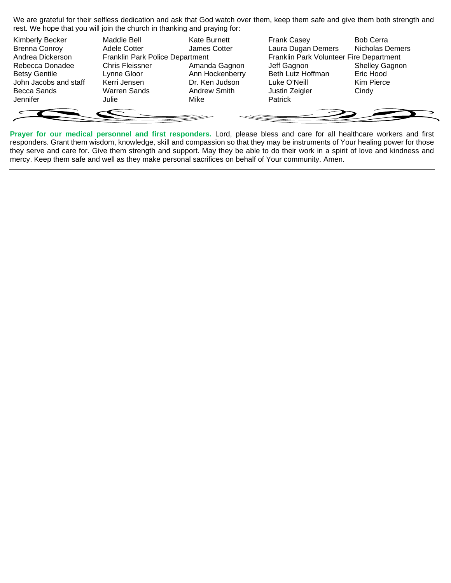We are grateful for their selfless dedication and ask that God watch over them, keep them safe and give them both strength and rest. We hope that you will join the church in thanking and praying for:

| <b>Kimberly Becker</b> | Maddie Bell                     | <b>Kate Burnett</b> | <b>Frank Casey</b>                      | <b>Bob Cerra</b>       |
|------------------------|---------------------------------|---------------------|-----------------------------------------|------------------------|
| <b>Brenna Conroy</b>   | Adele Cotter                    | James Cotter        | Laura Dugan Demers                      | <b>Nicholas Demers</b> |
| Andrea Dickerson       | Franklin Park Police Department |                     | Franklin Park Volunteer Fire Department |                        |
| Rebecca Donadee        | <b>Chris Fleissner</b>          | Amanda Gagnon       | Jeff Gagnon                             | <b>Shelley Gagnon</b>  |
| <b>Betsy Gentile</b>   | Lynne Gloor                     | Ann Hockenberry     | Beth Lutz Hoffman                       | Eric Hood              |
| John Jacobs and staff  | Kerri Jensen                    | Dr. Ken Judson      | Luke O'Neill                            | Kim Pierce             |
| Becca Sands            | <b>Warren Sands</b>             | <b>Andrew Smith</b> | Justin Zeigler                          | Cindy                  |
| Jennifer               | Julie                           | Mike                | Patrick                                 |                        |
|                        |                                 |                     |                                         |                        |
|                        |                                 |                     |                                         |                        |

**Prayer for our medical personnel and first responders.** Lord, please bless and care for all healthcare workers and first responders. Grant them wisdom, knowledge, skill and compassion so that they may be instruments of Your healing power for those they serve and care for. Give them strength and support. May they be able to do their work in a spirit of love and kindness and mercy. Keep them safe and well as they make personal sacrifices on behalf of Your community. Amen.